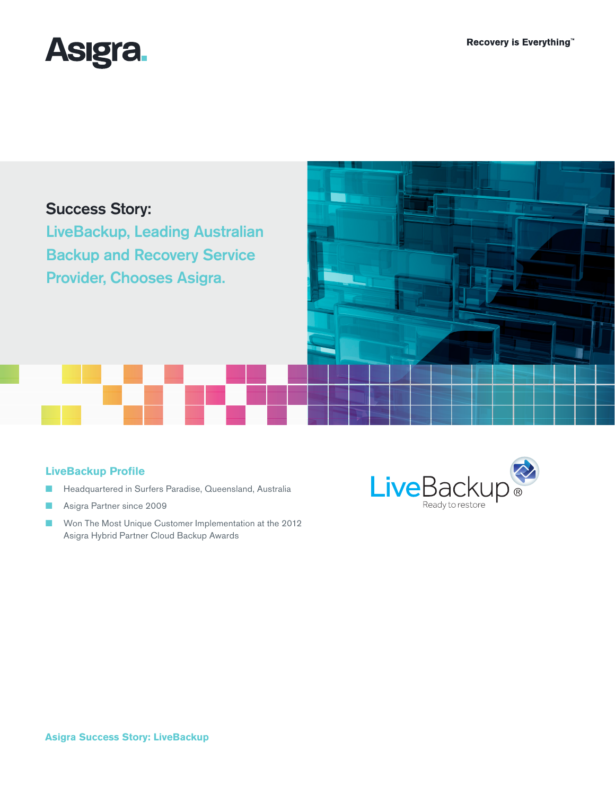

# Success Story:

LiveBackup, Leading Australian Backup and Recovery Service Provider, Chooses Asigra.

## **LiveBackup Profile**

- Headquartered in Surfers Paradise, Queensland, Australia
- Asigra Partner since 2009
- Won The Most Unique Customer Implementation at the 2012 Asigra Hybrid Partner Cloud Backup Awards



#### **Asigra Success Story: LiveBackup**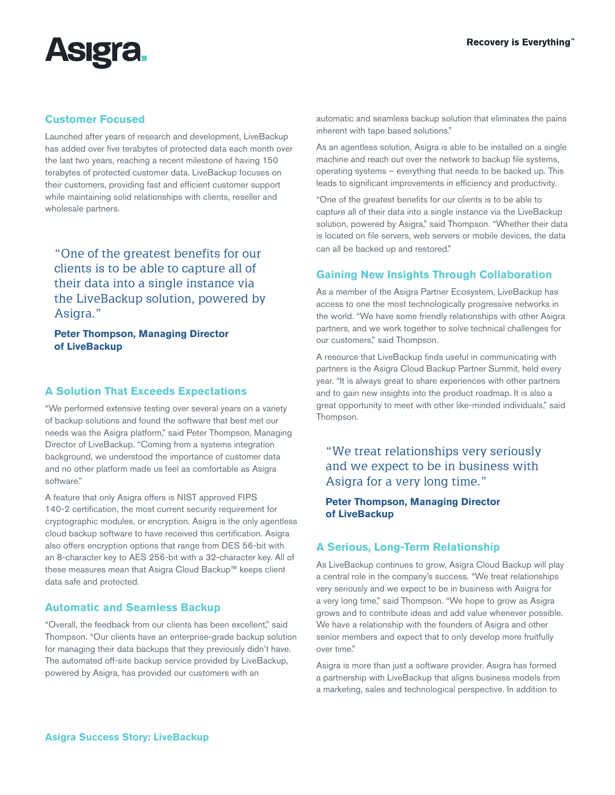

### **Customer Focused**

Launched after years of research and development, LiveBackup has added over five terabytes of protected data each month over the last two years, reaching a recent milestone of having 150 terabytes of protected customer data. LiveBackup focuses on their customers, providing fast and efficient customer support while maintaining solid relationships with clients, reseller and wholesale partners.

"One of the greatest benefits for our clients is to be able to capture all of their data into a single instance via the LiveBackup solution, powered by Asigra."

**Peter Thompson, Managing Director of LiveBackup**

### **A Solution That Exceeds Expectations**

"We performed extensive testing over several years on a variety of backup solutions and found the software that best met our needs was the Asigra platform," said Peter Thompson, Managing Director of LiveBackup. "Coming from a systems integration background, we understood the importance of customer data and no other platform made us feel as comfortable as Asigra software."

A feature that only Asigra offers is NIST approved FIPS 140-2 certification, the most current security requirement for cryptographic modules, or encryption. Asigra is the only agentless cloud backup software to have received this certification. Asigra also offers encryption options that range from DES 56-bit with an 8-character key to AES 256-bit with a 32-character key. All of these measures mean that Asigra Cloud Backup™ keeps client data safe and protected.

#### **Automatic and Seamless Backup**

"Overall, the feedback from our clients has been excellent," said Thompson. "Our clients have an enterprise-grade backup solution for managing their data backups that they previously didn't have. The automated off-site backup service provided by LiveBackup, powered by Asigra, has provided our customers with an

automatic and seamless backup solution that eliminates the pains inherent with tape based solutions."

As an agentless solution, Asigra is able to be installed on a single machine and reach out over the network to backup file systems, operating systems – everything that needs to be backed up. This leads to significant improvements in efficiency and productivity.

"One of the greatest benefits for our clients is to be able to capture all of their data into a single instance via the LiveBackup solution, powered by Asigra," said Thompson. "Whether their data is located on file servers, web servers or mobile devices, the data can all be backed up and restored."

#### **Gaining New Insights Through Collaboration**

As a member of the Asigra Partner Ecosystem, LiveBackup has access to one the most technologically progressive networks in the world. "We have some friendly relationships with other Asigra partners, and we work together to solve technical challenges for our customers," said Thompson.

A resource that LiveBackup finds useful in communicating with partners is the Asigra Cloud Backup Partner Summit, held every year. "It is always great to share experiences with other partners and to gain new insights into the product roadmap. It is also a great opportunity to meet with other like-minded individuals," said Thompson.

"We treat relationships very seriously and we expect to be in business with Asigra for a very long time."

#### **Peter Thompson, Managing Director of LiveBackup**

#### **A Serious, Long-Term Relationship**

As LiveBackup continues to grow, Asigra Cloud Backup will play a central role in the company's success. "We treat relationships very seriously and we expect to be in business with Asigra for a very long time," said Thompson. "We hope to grow as Asigra grows and to contribute ideas and add value whenever possible. We have a relationship with the founders of Asigra and other senior members and expect that to only develop more fruitfully over time."

Asigra is more than just a software provider. Asigra has formed a partnership with LiveBackup that aligns business models from a marketing, sales and technological perspective. In addition to